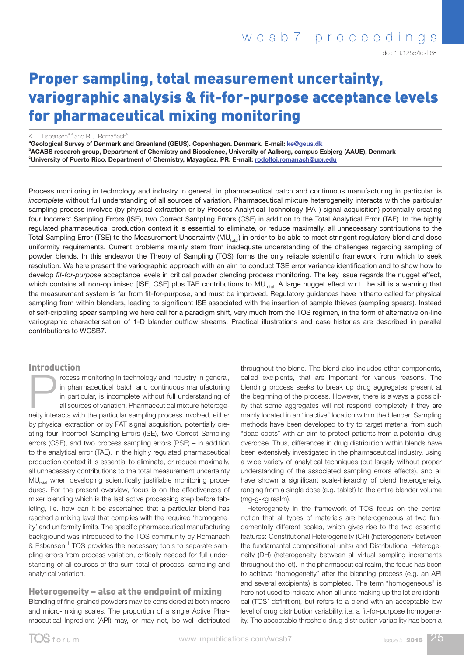doi: 10.1255/tosf.68

# Proper sampling, total measurement uncertainty, variographic analysis & fit-for-purpose acceptance levels for pharmaceutical mixing monitoring

K.H. Esbensen<sup>a,b</sup> and R.J. Romañach<sup>o</sup>

<sup>a</sup>Geological Survey of Denmark and Greenland (GEUS). Copenhagen. Denmark. E-mail: <u>ke@geus.dk</u> b ACABS research group, Department of Chemistry and Bioscience, University of Aalborg, campus Esbjerg (AAUE), Denmark **Cuniversity of Puerto Rico, Department of Chemistry, Mayagüez, PR. E-mail: [rodolfoj.romanach@upr.edu](mailto:rodolfoj.romanach%40upr.edu?subject=)** 

Process monitoring in technology and industry in general, in pharmaceutical batch and continuous manufacturing in particular, is *incomplete* without full understanding of all sources of variation. Pharmaceutical mixture heterogeneity interacts with the particular sampling process involved (by physical extraction or by Process Analytical Technology (PAT) signal acquisition) potentially creating four Incorrect Sampling Errors (ISE), two Correct Sampling Errors (CSE) in addition to the Total Analytical Error (TAE). In the highly regulated pharmaceutical production context it is essential to eliminate, or reduce maximally, all unnecessary contributions to the Total Sampling Error (TSE) to the Measurement Uncertainty (MU<sub>total</sub>) in order to be able to meet stringent regulatory blend and dose uniformity requirements. Current problems mainly stem from inadequate understanding of the challenges regarding sampling of powder blends. In this endeavor the Theory of Sampling (TOS) forms the only reliable scientific framework from which to seek resolution. We here present the variographic approach with an aim to conduct TSE error variance identification and to show how to develop *fit-for-purpose* acceptance levels in critical powder blending process monitoring. The key issue regards the nugget effect, which contains all non-optimised [ISE, CSE] plus TAE contributions to MU<sub>total</sub>. A large nugget effect w.r.t. the sill is a warning that the measurement system is far from fit-for-purpose, and must be improved. Regulatory guidances have hitherto called for physical sampling from within blenders, leading to significant ISE associated with the insertion of sample thieves (sampling spears). Instead of self-crippling spear sampling we here call for a paradigm shift, very much from the TOS regimen, in the form of alternative on-line variographic characterisation of 1-D blender outflow streams. Practical illustrations and case histories are described in parallel contributions to WCSB7.

#### Introduction

rocess monitoring in technology and industry in general, in pharmaceutical batch and continuous manufacturing in particular, is incomplete without full understanding of all sources of variation. Pharmaceutical mixture heterogeneity interacts with the particular sampling process involved, either by physical extraction or by PAT signal acquisition, potentially creating four Incorrect Sampling Errors (ISE), two Correct Sampling errors (CSE), and two process sampling errors (PSE) – in addition to the analytical error (TAE). In the highly regulated pharmaceutical production context it is essential to eliminate, or reduce maximally, all unnecessary contributions to the total measurement uncertainty  $MU_{total}$  when developing scientifically justifiable monitoring procedures. For the present overview, focus is on the effectiveness of mixer blending which is the last active processing step before tableting, i.e. how can it be ascertained that a particular blend has reached a mixing level that complies with the required 'homogeneity' and uniformity limits. The specific pharmaceutical manufacturing background was introduced to the TOS community by Romañach & Esbensen.<sup>1</sup> TOS provides the necessary tools to separate sampling errors from process variation, critically needed for full understanding of all sources of the sum-total of process, sampling and analytical variation.

#### Heterogeneity – also at the endpoint of mixing

Blending of fine-grained powders may be considered at both macro and micro-mixing scales. The proportion of a single Active Pharmaceutical Ingredient (API) may, or may not, be well distributed throughout the blend. The blend also includes other components, called excipients, that are important for various reasons. The blending process seeks to break up drug aggregates present at the beginning of the process. However, there is always a possibility that some aggregates will not respond completely if they are mainly located in an "inactive" location within the blender. Sampling methods have been developed to try to target material from such "dead spots" with an aim to protect patients from a potential drug overdose. Thus, differences in drug distribution within blends have been extensively investigated in the pharmaceutical industry, using a wide variety of analytical techniques (but largely without proper understanding of the associated sampling errors effects), and all have shown a significant scale-hierarchy of blend heterogeneity, ranging from a single dose (e.g. tablet) to the entire blender volume (mg-g-kg realm).

Heterogeneity in the framework of TOS focus on the central notion that all types of materials are heterogeneous at two fundamentally different scales, which gives rise to the two essential features: Constitutional Heterogeneity (CH) (heterogeneity between the fundamental compositional units) and Distributional Heterogeneity (DH) (heterogeneity between all virtual sampling increments throughout the lot). In the pharmaceutical realm, the focus has been to achieve "homogeneity" after the blending process (e.g. an API and several excipients) is completed. The term "homogeneous" is here not used to indicate when all units making up the lot are identical (TOS' definition), but refers to a blend with an acceptable low level of drug distribution variability, i.e. a fit-for-purpose homogeneity. The acceptable threshold drug distribution variability has been a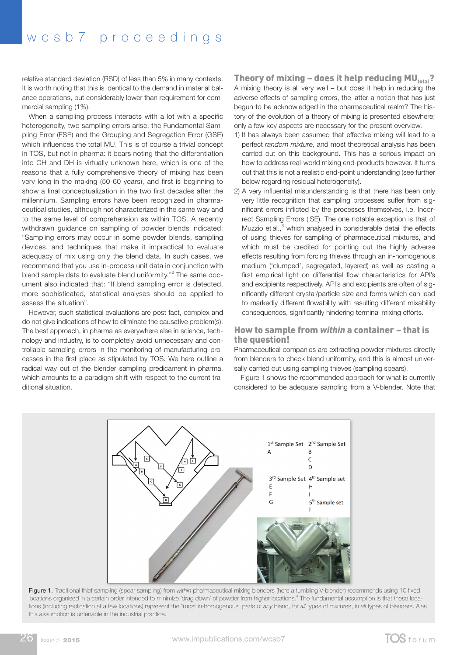## wcsb7 proceedings

relative standard deviation (RSD) of less than 5% in many contexts. It is worth noting that this is identical to the demand in material balance operations, but considerably lower than requirement for commercial sampling (1%).

When a sampling process interacts with a lot with a specific heterogeneity, two sampling errors arise, the Fundamental Sampling Error (FSE) and the Grouping and Segregation Error (GSE) which influences the total MU. This is of course a trivial concept in TOS, but not in pharma: it bears noting that the differentiation into CH and DH is virtually unknown here, which is one of the reasons that a fully comprehensive theory of mixing has been very long in the making (50-60 years), and first is beginning to show a final conceptualization in the two first decades after the millennium. Sampling errors have been recognized in pharmaceutical studies, although not characterized in the same way and to the same level of comprehension as within TOS. A recently withdrawn guidance on sampling of powder blends indicated: "Sampling errors may occur in some powder blends, sampling devices, and techniques that make it impractical to evaluate adequacy of mix using only the blend data. In such cases, we recommend that you use in-process unit data in conjunction with blend sample data to evaluate blend uniformity."<sup>2</sup> The same document also indicated that: "If blend sampling error is detected, more sophisticated, statistical analyses should be applied to assess the situation".

However, such statistical evaluations are post fact, complex and do not give indications of how to eliminate the causative problem(s). The best approach, in pharma as everywhere else in science, technology and industry, is to completely avoid unnecessary and controllable sampling errors in the monitoring of manufacturing processes in the first place as stipulated by TOS. We here outline a radical way out of the blender sampling predicament in pharma, which amounts to a paradigm shift with respect to the current traditional situation.

Theory of mixing – does it help reducing MU $_{total}$ ? A mixing theory is all very well – but does it help in reducing the adverse effects of sampling errors, the latter a notion that has just begun to be acknowledged in the pharmaceutical realm? The history of the evolution of a theory of mixing is presented elsewhere; only a few key aspects are necessary for the present overview.

- 1) It has always been assumed that effective mixing will lead to a perfect *random mixture*, and most theoretical analysis has been carried out on this background. This has a serious impact on how to address real-world mixing end-products however. It turns out that this is not a realistic end-point understanding (see further below regarding residual heterogeneity).
- 2) A very influential misunderstanding is that there has been only very little recognition that sampling processes suffer from significant errors inflicted by the processes themselves, i.e. Incorrect Sampling Errors (ISE). The one notable exception is that of Muzzio et al.,<sup>3</sup> which analysed in considerable detail the effects of using thieves for sampling of pharmaceutical mixtures, and which must be credited for pointing out the highly adverse effects resulting from forcing thieves through an in-homogenous medium ('clumped', segregated, layered) as well as casting a first empirical light on differential flow characteristics for API's and excipients respectively. API's and excipients are often of significantly different crystal/particle size and forms which can lead to markedly different flowability with resulting different mixability consequences, significantly hindering terminal mixing efforts.

#### How to sample from *within* a container – that is the question!

Pharmaceutical companies are extracting powder mixtures directly from blenders to check blend uniformity, and this is almost universally carried out using sampling thieves (sampling spears).

Figure 1 shows the recommended approach for what is currently considered to be adequate sampling from a V-blender. Note that



Figure 1. Traditional thief sampling (spear sampling) from *within* pharmaceutical mixing blenders (here a tumbling V-blender) recommends using 10 fixed locations organised in a certain order intended to minimize 'drag down' of powder from higher locations.<sup>4</sup> The fundamental assumption is that these locations (including replication at a few locations) represent the "most in-homogenous" parts of *any* blend, for *all* types of mixtures, in *all* types of blenders. Alas this assumption is untenable in the industrial practice.

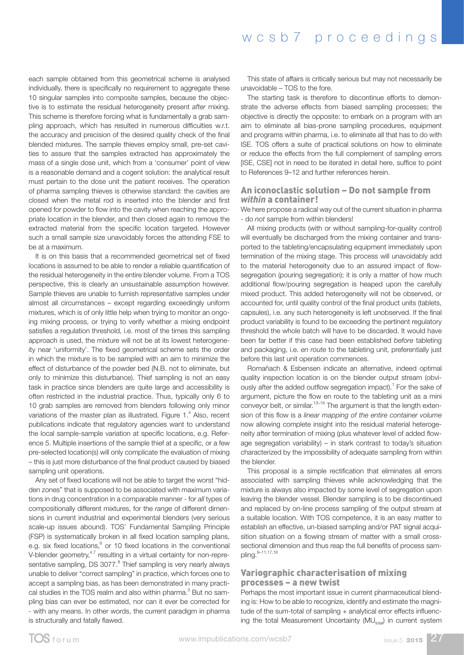each sample obtained from this geometrical scheme is analysed individually, there is specifically no requirement to aggregate these 10 singular samples into composite samples, because the objective is to estimate the residual heterogeneity present *after* mixing. This scheme is therefore forcing what is fundamentally a grab sampling approach, which has resulted in numerous difficulties w.r.t. the accuracy and precision of the desired quality check of the final blended mixtures. The sample thieves employ small, pre-set cavities to assure that the samples extracted has approximately the mass of a single dose unit, which from a 'consumer' point of view is a reasonable demand and a cogent solution: the analytical result must pertain to the dose unit the patient receives. The operation of pharma sampling thieves is otherwise standard: the cavities are closed when the metal rod is inserted into the blender and first opened for powder to flow into the cavity when reaching the appropriate location in the blender, and then closed again to remove the extracted material from the specific location targeted. However such a small sample size unavoidably forces the attending FSE to be at a maximum.

It is on this basis that a recommended geometrical set of fixed locations is assumed to be able to render a reliable quantification of the residual heterogeneity in the entire blender volume. From a TOS perspective, this is clearly an unsustainable assumption however. Sample thieves are unable to furnish representative samples under almost all circumstances – except regarding exceedingly uniform mixtures, which is of only little help when trying to monitor an ongoing mixing process, or trying to verify whether a mixing endpoint satisfies a regulation threshold, i.e. most of the times this sampling approach is used, the mixture will not be at its lowest heterogeneity near 'uniformity'. The fixed geometrical scheme sets the order in which the mixture is to be sampled with an aim to minimize the effect of disturbance of the powder bed (N.B. not to eliminate, but only to minimize this disturbance). Thief sampling is not an easy task in practice since blenders are quite large and accessibility is often restricted in the industrial practice. Thus, typically only 6 to 10 grab samples are removed from blenders following only minor variations of the master plan as illustrated, Figure  $1.^4$  Also, recent publications indicate that regulatory agencies want to understand the local sample-sample variation at specific locations, e.g. Reference 5. Multiple insertions of the sample thief at a specific, or a few pre-selected location(s) will only complicate the evaluation of mixing – this is just more disturbance of the final product caused by biased sampling unit operations.

Any set of fixed locations will not be able to target the worst "hidden zones" that is supposed to be associated with maximum variations in drug concentration in a comparable manner - for *all* types of compositionally different mixtures, for the *range* of different dimensions in current industrial and experimental blenders (very serious scale-up issues abound). TOS' Fundamental Sampling Principle (FSP) is systematically broken in all fixed location sampling plans, e.g. six fixed locations, $6$  or 10 fixed locations in the conventional V-blender geometry, $4.7$  resulting in a virtual certainty for non-representative sampling, DS 3077.<sup>8</sup> Thief sampling is very nearly always unable to deliver "correct sampling" in practice, which forces one to accept a sampling bias, as has been demonstrated in many practical studies in the TOS realm and also within pharma. $^3$  But no sampling bias can ever be estimated, nor can it ever be corrected for - with any means. In other words, the current paradigm in pharma is structurally and fatally flawed.

This state of affairs is critically serious but may not necessarily be unavoidable – TOS to the fore.

The starting task is therefore to discontinue efforts to demonstrate the adverse effects from biased sampling processes; the objective is directly the opposite: to embark on a program with an aim to eliminate all bias-prone sampling procedures, equipment and programs within pharma, i.e. to eliminate all that has to do with ISE. TOS offers a suite of practical solutions on how to eliminate or reduce the effects from the full complement of sampling errors [ISE, CSE] not in need to be iterated in detail here, suffice to point to References 9–12 and further references herein.

#### An iconoclastic solution – Do not sample from *within* a container!

We here propose a radical way out of the current situation in pharma - do *not* sample from within blenders!

All mixing products (with or without sampling-for-quality control) will eventually be discharged from the mixing container and transported to the tableting/encapsulating equipment immediately upon termination of the mixing stage. This process will unavoidably add to the material heterogeneity due to an assured impact of flowsegregation (pouring segregation); it is only a matter of how much additional flow/pouring segregation is heaped upon the carefully mixed product. This added heterogeneity will not be observed, or accounted for, until quality control of the final product units (tablets, capsules), i.e. any such heterogeneity is left unobserved. If the final product variability is found to be exceeding the pertinent regulatory threshold the whole batch will have to be discarded. It would have been far better if this case had been established *before* tableting and packaging, i.e. *en route* to the tableting unit, preferentially just before this last unit operation commences.

Romañach & Esbensen indicate an alternative, indeed optimal quality inspection location is on the blender output stream (obviously after the added outflow segregation impact).<sup>1</sup> For the sake of argument, picture the flow en route to the tableting unit as a mini conveyor belt, or similar.13–16 The argument is that the length extension of this flow is a *linear mapping of the entire container volume* now allowing complete insight into the residual material heterogeneity after termination of mixing (plus whatever level of added flowage segregation variability) – in stark contrast to today's situation characterized by the impossibility of adequate sampling from within the blender.

This proposal is a simple rectification that eliminates all errors associated with sampling thieves while acknowledging that the mixture is always also impacted by some level of segregation upon leaving the blender vessel. Blender sampling is to be discontinued and replaced by on-line process sampling of the output stream at a suitable location. With TOS competence, it is an easy matter to establish an effective, un-biased sampling and/or PAT signal acquisition situation on a flowing stream of matter with a small crosssectional dimension and thus reap the full benefits of process sampling.9–11,17,18

#### Variographic characterisation of mixing processes – a new twist

Perhaps the most important issue in current pharmaceutical blending is: How to be able to recognize, identify and estimate the magnitude of the sum-total of sampling + analytical error effects influencing the total Measurement Uncertainty ( $MU_{total}$ ) in current system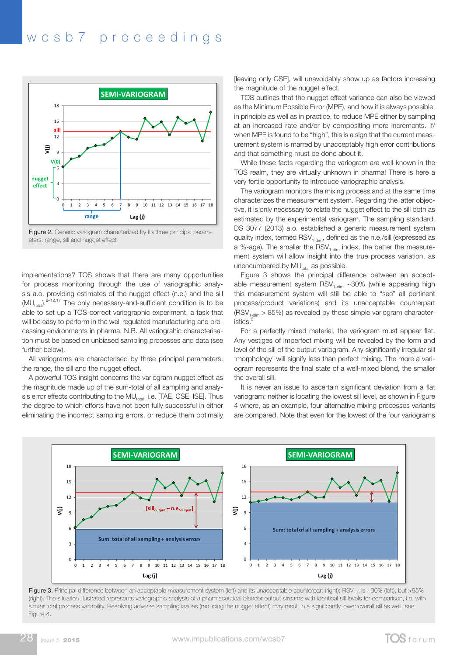### wcsb7 proceedings



eters: range, sill and nugget effect

implementations? TOS shows that there are many opportunities for process monitoring through the use of variographic analysis a.o. providing estimates of the nugget effect (n.e.) and the sill  $(MU_{total})$ .<sup>8–12,17</sup> The only necessary-and-sufficient condition is to be able to set up a TOS-correct variographic experiment, a task that will be easy to perform in the well regulated manufacturing and processing environments in pharma. N.B. All variograhic characterisation must be based on unbiased sampling processes and data (see further below).

All variograms are characterised by three principal parameters: the range, the sill and the nugget effect.

A powerful TOS insight concerns the variogram nugget effect as the magnitude made up of the sum-total of all sampling and analysis error effects contributing to the MU<sub>total</sub>, i.e. [TAE, CSE, ISE]. Thus the degree to which efforts have not been fully successful in either eliminating the incorrect sampling errors, or reduce them optimally

[leaving only CSE], will unavoidably show up as factors increasing the magnitude of the nugget effect.

TOS outlines that the nugget effect variance can also be viewed as the Minimum Possible Error (MPE), and how it is always possible, in principle as well as in practice, to reduce MPE either by sampling at an increased rate and/or by compositing more increments. If/ when MPE is found to be "high", this is a sign that the current measurement system is marred by unacceptably high error contributions and that something must be done about it.

While these facts regarding the variogram are well-known in the TOS realm, they are virtually unknown in pharma! There is here a very fertile opportunity to introduce variographic analysis.

The variogram monitors the mixing process and at the same time characterizes the measurement system. Regarding the latter objective, it is only necessary to relate the nugget effect to the sill both as estimated by the experimental variogram. The sampling standard, DS 3077 (2013) a.o. established a generic measurement system quality index, termed RSV<sub>1-dim</sub>, defined as the n.e./sill (expressed as a %-age). The smaller the  $\text{RSV}_{1\text{-dim}}$  index, the better the measurement system will allow insight into the true process variation, as unencumbered by  $MU_{total}$  as possible.

Figure 3 shows the principal difference between an acceptable measurement system  $RSV_{1\text{-dim}} \sim 30\%$  (while appearing high this measurement system will still be able to "see" all pertinent process/product variations) and its unacceptable counterpart  $(RSV_{1\text{-dim}} > 85\%)$  as revealed by these simple variogram characteristics.

For a perfectly mixed material, the variogram must appear flat. Any vestiges of imperfect mixing will be revealed by the form and level of the sill of the output variogram. Any significantly irregular sill 'morphology' will signify less than perfect mixing. The more a variogram represents the final state of a well-mixed blend, the smaller the overall sill.

It is never an issue to ascertain significant deviation from a flat variogram; neither is locating the lowest sill level, as shown in Figure 4 where, as an example, four alternative mixing processes variants are compared. Note that even for the lowest of the four variograms



Figure 3. Principal difference between an acceptable measurement system (left) and its unacceptable counterpart (right); RSV<sub>1-D</sub> is ~30% (left), but >85% (right). The situation illustrated represents variographic analysis of a pharmaceutical blender output streams with identical sill levels for comparison, i.e. with similar total process variability. Resolving adverse sampling issues (reducing the nugget effect) may result in a significantly lower overall sill as well, see Figure 4.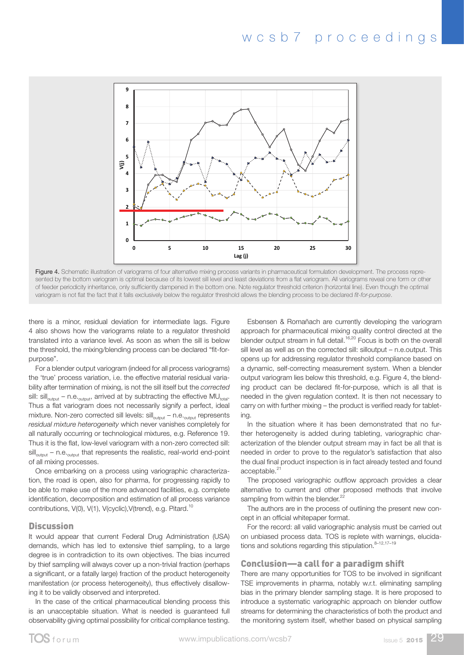

variogram is not flat the fact that it falls exclusively below the regulator threshold allows the blending process to be declared *fit-for-purpose.* Figure 4. Schematic illustration of variograms of four altemative mixing process variants in pharmaceutical formulation development. The process represented by the bottom variogram is optimal because of its lowest sill level and least deviations from a flat variogram. All variograms reveal one form or other of feeder periodicity inheritance, only sufficiently dampened in the bottom one. Note regulator threshold criterion (horizontal line). Even though the optimal

there is a minor, residual deviation for intermediate lags. Figure 4 also shows how the variograms relate to a regulator threshold translated into a variance level. As soon as when the sill is below blend<br>**allow** the blue process to be determined by the blue process to be a fitted on the blue process to be a fitted the threshold, the mixing/blending process can be declared "fit-forpurpose".

For a blender output variogram (indeed for all process variograms) the 'true' process variation, i.e. the effective material residual variability after termination of mixing, is not the sill itself but the *corrected* sill: sill<sub>output</sub> – n.e.<sub>output</sub>, arrived at by subtracting the effective MU<sub>total</sub>. Thus a flat variogram does not necessarily signify a perfect, ideal mixture. Non-zero corrected sill levels:  $\text{sil}^{\text{output}}_{\text{output}}$  – n.e. $_{\text{output}}$  represents *residual mixture heterogeneity* which never vanishes completely for all naturally occurring or technological mixtures, e.g. Reference 19. Thus it is the flat, low-level variogram with a non-zero corrected sill:  $\left\| \mathbf{s} \right\|_{\text{output}}$  – n.e.  $\mathbf{s}_{\text{output}}$  that represents the realistic, real-world end-point of all mixing processes.

Once embarking on a process using variographic characterization, the road is open, also for pharma, for progressing rapidly to be able to make use of the more advanced facilities, e.g. complete identification, decomposition and estimation of all process variance contributions, V(0), V(1), V(cyclic), V(trend), e.g. Pitard.<sup>10</sup>

#### **Discussion**

It would appear that current Federal Drug Administration (USA) demands, which has led to extensive thief sampling, to a large degree is in contradiction to its own objectives. The bias incurred by thief sampling will always cover up a non-trivial fraction (perhaps a significant, or a fatally large) fraction of the product heterogeneity manifestation (or process heterogeneity), thus effectively disallowing it to be validly observed and interpreted.

In the case of the critical pharmaceutical blending process this is an unacceptable situation. What is needed is guaranteed full observability giving optimal possibility for critical compliance testing.

minor, residual deviation for intermediate lags. Figure <br>**Explores & Romañach are currently developing the variogram** approach for pharmaceutical mixing quality control directed at the ws now the vanograms relate to a regulator threshold approach for pharmaceditcal mixing quality control directed at the<br>nto a variance level. As soon as when the sill is below blender output stream in full detail.<sup>16,20</sup> F sill level as well as on the corrected sill: silloutput – n.e.output. This opens up for addressing regulator threshold compliance based on a dynamic, self-correcting measurement system. When a blender output variogram lies below this threshold, e.g. Figure 4, the blending product can be declared fit-for-purpose, which is all that is needed in the given regulation context. It is then not necessary to carry on with further mixing – the product is verified ready for tableting. inhilor, residual deviation for intermediate lags. Figure **ESD**eriser & Homanach are currently developing the vancu

> In the situation where it has been demonstrated that no further heterogeneity is added during tableting, variographic characterization of the blender output stream may in fact be all that is needed in order to prove to the regulator's satisfaction that also the dual final product inspection is in fact already tested and found acceptable.<sup>21</sup>

> The proposed variographic outflow approach provides a clear alternative to current and other proposed methods that involve sampling from within the blender.<sup>22</sup>

> The authors are in the process of outlining the present new concept in an official whitepaper format.

> For the record: all valid variographic analysis must be carried out on unbiased process data. TOS is replete with warnings, elucidations and solutions regarding this stipulation. $8-12,17-19$

#### Conclusion—a call for a paradigm shift

There are many opportunities for TOS to be involved in significant TSE improvements in pharma, notably w.r.t. eliminating sampling bias in the primary blender sampling stage. It is here proposed to introduce a systematic variographic approach on blender outflow streams for determining the characteristics of both the product and the monitoring system itself, whether based on physical sampling